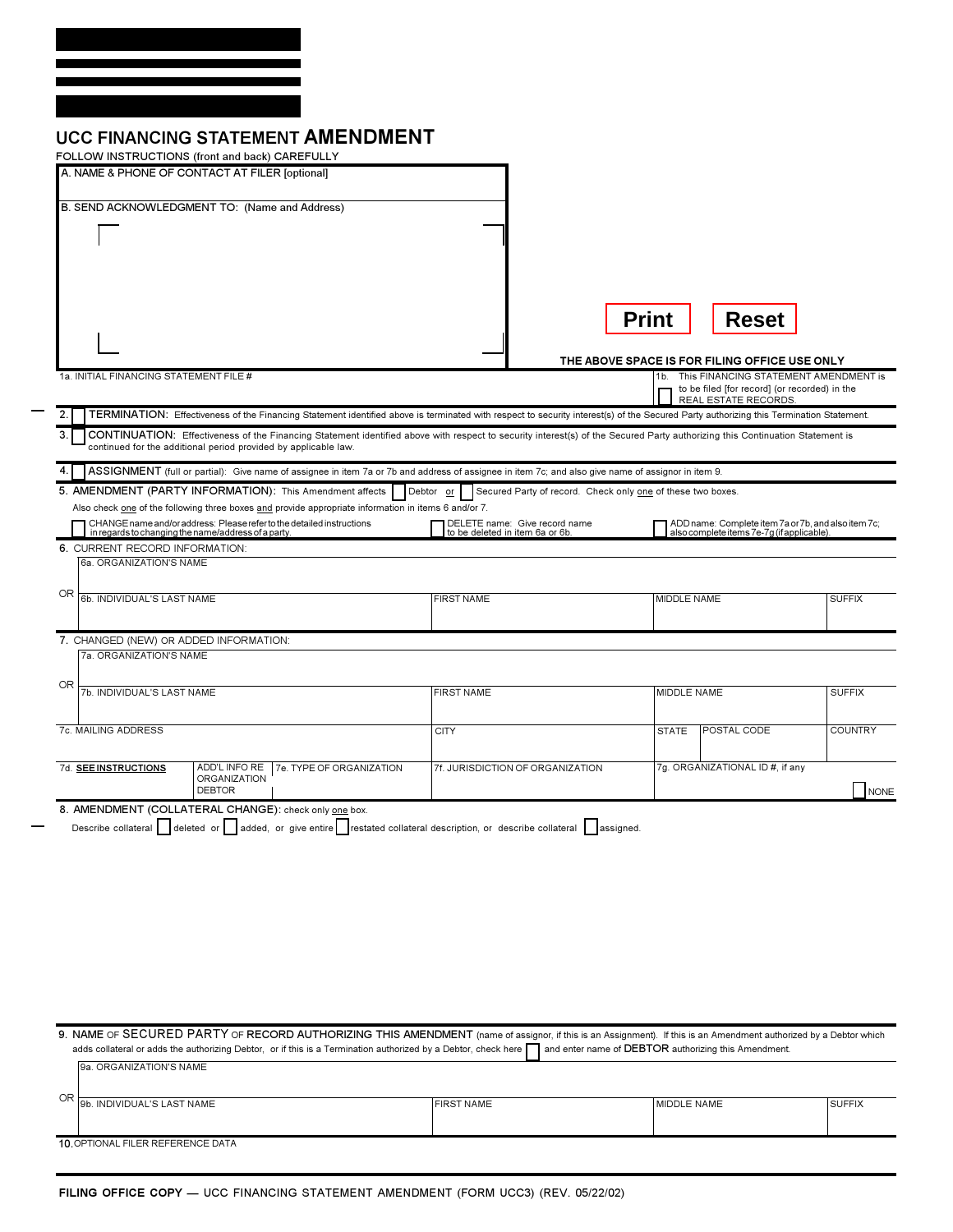| <b>UCC FINANCING STATEMENT AMENDMENT</b> |  |
|------------------------------------------|--|
|------------------------------------------|--|

| FOLLOW INSTRUCTIONS (front and back) CAREFULLY                                                                                                                                               |                                                                          |                    |                                                                                                  |                |
|----------------------------------------------------------------------------------------------------------------------------------------------------------------------------------------------|--------------------------------------------------------------------------|--------------------|--------------------------------------------------------------------------------------------------|----------------|
| A. NAME & PHONE OF CONTACT AT FILER [optional]                                                                                                                                               |                                                                          |                    |                                                                                                  |                |
|                                                                                                                                                                                              |                                                                          |                    |                                                                                                  |                |
| B. SEND ACKNOWLEDGMENT TO: (Name and Address)                                                                                                                                                |                                                                          |                    |                                                                                                  |                |
|                                                                                                                                                                                              |                                                                          |                    |                                                                                                  |                |
|                                                                                                                                                                                              |                                                                          |                    |                                                                                                  |                |
|                                                                                                                                                                                              |                                                                          |                    |                                                                                                  |                |
|                                                                                                                                                                                              |                                                                          |                    |                                                                                                  |                |
|                                                                                                                                                                                              |                                                                          | <b>Print</b>       | <b>Reset</b>                                                                                     |                |
|                                                                                                                                                                                              |                                                                          |                    |                                                                                                  |                |
|                                                                                                                                                                                              |                                                                          |                    |                                                                                                  |                |
| 1a. INITIAL FINANCING STATEMENT FILE #                                                                                                                                                       |                                                                          | 1b.                | THE ABOVE SPACE IS FOR FILING OFFICE USE ONLY<br>This FINANCING STATEMENT AMENDMENT is           |                |
|                                                                                                                                                                                              |                                                                          |                    | to be filed [for record] (or recorded) in the                                                    |                |
| 2.<br>TERMINATION: Effectiveness of the Financing Statement identified above is terminated with respect to security interest(s) of the Secured Party authorizing this Termination Statement. |                                                                          |                    | REAL ESTATE RECORDS.                                                                             |                |
| 3.<br>CONTINUATION: Effectiveness of the Financing Statement identified above with respect to security interest(s) of the Secured Party authorizing this Continuation Statement is           |                                                                          |                    |                                                                                                  |                |
| continued for the additional period provided by applicable law.                                                                                                                              |                                                                          |                    |                                                                                                  |                |
| ASSIGNMENT (full or partial): Give name of assignee in item 7a or 7b and address of assignee in item 7c; and also give name of assignor in item 9.<br>4                                      |                                                                          |                    |                                                                                                  |                |
| 5. AMENDMENT (PARTY INFORMATION): This Amendment affects                                                                                                                                     | Debtor or<br>Secured Party of record. Check only one of these two boxes. |                    |                                                                                                  |                |
| Also check one of the following three boxes and provide appropriate information in items 6 and/or 7.                                                                                         |                                                                          |                    |                                                                                                  |                |
| CHANGE name and/or address: Please refer to the detailed instructions<br>in regards to changing the name/address of a party.                                                                 | DELETE name: Give record name<br>to be deleted in item 6a or 6b.         |                    | ADD name: Complete item 7a or 7b, and also item 7c;<br>also complete items 7e-7g (if applicable) |                |
| 6. CURRENT RECORD INFORMATION:                                                                                                                                                               |                                                                          |                    |                                                                                                  |                |
| 6a. ORGANIZATION'S NAME                                                                                                                                                                      |                                                                          |                    |                                                                                                  |                |
| OR                                                                                                                                                                                           |                                                                          |                    |                                                                                                  |                |
| 6b. INDIVIDUAL'S LAST NAME                                                                                                                                                                   | <b>FIRST NAME</b>                                                        | MIDDLE NAME        |                                                                                                  | <b>SUFFIX</b>  |
|                                                                                                                                                                                              |                                                                          |                    |                                                                                                  |                |
| 7. CHANGED (NEW) OR ADDED INFORMATION:                                                                                                                                                       |                                                                          |                    |                                                                                                  |                |
| 7a. ORGANIZATION'S NAME                                                                                                                                                                      |                                                                          |                    |                                                                                                  |                |
| OR<br>7b. INDIVIDUAL'S LAST NAME                                                                                                                                                             | <b>FIRST NAME</b>                                                        | <b>MIDDLE NAME</b> |                                                                                                  | <b>SUFFIX</b>  |
|                                                                                                                                                                                              |                                                                          |                    |                                                                                                  |                |
| 7c. MAILING ADDRESS                                                                                                                                                                          | <b>CITY</b>                                                              | <b>STATE</b>       | POSTAL CODE                                                                                      | <b>COUNTRY</b> |
|                                                                                                                                                                                              |                                                                          |                    |                                                                                                  |                |
| 7d. SEE INSTRUCTIONS<br>ADD'L INFO RE   7e. TYPE OF ORGANIZATION                                                                                                                             | 7f. JURISDICTION OF ORGANIZATION                                         |                    | 7g. ORGANIZATIONAL ID #, if any                                                                  |                |
| ORGANIZATION<br><b>DEBTOR</b>                                                                                                                                                                |                                                                          |                    |                                                                                                  | <b>NONE</b>    |
| 8. AMENDMENT (COLLATERAL CHANGE): check only one box.                                                                                                                                        |                                                                          |                    |                                                                                                  |                |
| Describe collateral deleted or added, or give entire restated collateral description, or describe collateral assigned.                                                                       |                                                                          |                    |                                                                                                  |                |
|                                                                                                                                                                                              |                                                                          |                    |                                                                                                  |                |

9. NAME OF SECURED PARTY OF RECORD AUTHORIZING THIS AMENDMENT (name of assignor, if this is an Assignment). If this is an Amendment authorized by a Debtor which adds collateral or adds the authorizing Debtor, or if this is a Termination authorized by a Debtor, check here name of DEBTOR authorizing this Amendment. 9a. ORGANIZATION'S NAME OR 9b. INDIVIDUAL'S LAST NAME FIRST NAME MIDDLE NAME SUFFIX 10. OPTIONAL FILER REFERENCE DATA